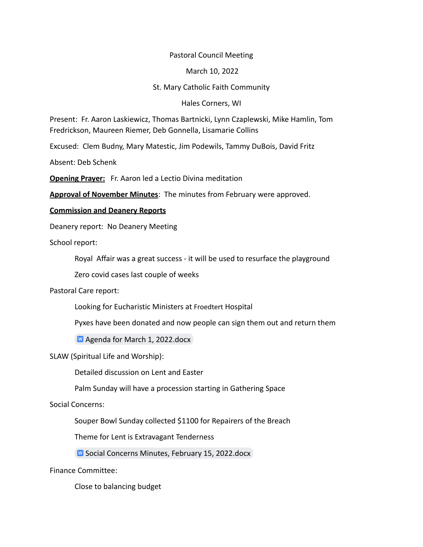## Pastoral Council Meeting

March 10, 2022

## St. Mary Catholic Faith Community

Hales Corners, WI

Present: Fr. Aaron Laskiewicz, Thomas Bartnicki, Lynn Czaplewski, Mike Hamlin, Tom Fredrickson, Maureen Riemer, Deb Gonnella, Lisamarie Collins

Excused: Clem Budny, Mary Matestic, Jim Podewils, Tammy DuBois, David Fritz

Absent: Deb Schenk

**Opening Prayer:** Fr. Aaron led a Lectio Divina meditation

**Approval of November Minutes**: The minutes from February were approved.

### **Commission and Deanery Reports**

Deanery report: No Deanery Meeting

School report:

Royal Affair was a great success - it will be used to resurface the playground

Zero covid cases last couple of weeks

## Pastoral Care report:

Looking for Eucharistic Ministers at Froedtert Hospital

Pyxes have been donated and now people can sign them out and return them

**M** [Agenda for March 1, 2022.docx](https://docs.google.com/document/d/1r0Qb0RHxazCcb5WWwrZGsTQ7lC4p-isK/edit?usp=sharing&ouid=101062603316395594027&rtpof=true&sd=true)

### SLAW (Spiritual Life and Worship):

Detailed discussion on Lent and Easter

Palm Sunday will have a procession starting in Gathering Space

# Social Concerns:

Souper Bowl Sunday collected \$1100 for Repairers of the Breach

Theme for Lent is Extravagant Tenderness

**W** [Social Concerns Minutes, February 15, 2022.docx](https://docs.google.com/document/d/1r_20hOg6U73IvTnB1zDG9OFEUAyvDMRo/edit?usp=sharing&ouid=101062603316395594027&rtpof=true&sd=true)

Finance Committee:

Close to balancing budget